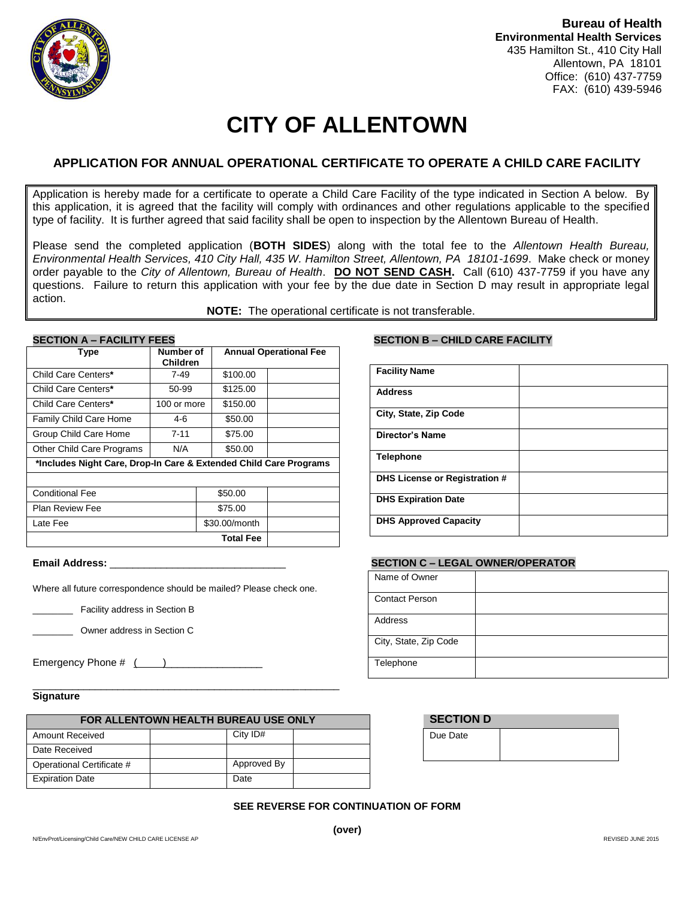

# **CITY OF ALLENTOWN**

## **APPLICATION FOR ANNUAL OPERATIONAL CERTIFICATE TO OPERATE A CHILD CARE FACILITY**

Application is hereby made for a certificate to operate a Child Care Facility of the type indicated in Section A below. By this application, it is agreed that the facility will comply with ordinances and other regulations applicable to the specified type of facility. It is further agreed that said facility shall be open to inspection by the Allentown Bureau of Health.

Please send the completed application (**BOTH SIDES**) along with the total fee to the *Allentown Health Bureau, Environmental Health Services, 410 City Hall, 435 W. Hamilton Street, Allentown, PA 18101-1699*. Make check or money order payable to the *City of Allentown, Bureau of Health*. **DO NOT SEND CASH.** Call (610) 437-7759 if you have any questions. Failure to return this application with your fee by the due date in Section D may result in appropriate legal action.

**NOTE:** The operational certificate is not transferable.

| <b>Type</b>                                                       | Number of<br><b>Children</b> |               | <b>Annual Operational Fee</b> |  |
|-------------------------------------------------------------------|------------------------------|---------------|-------------------------------|--|
| Child Care Centers*                                               | $7 - 49$                     | \$100.00      |                               |  |
| Child Care Centers*                                               | 50-99                        | \$125.00      |                               |  |
| Child Care Centers*                                               | 100 or more                  | \$150.00      |                               |  |
| <b>Family Child Care Home</b>                                     | 4-6                          | \$50.00       |                               |  |
| Group Child Care Home                                             | $7 - 11$                     | \$75.00       |                               |  |
| <b>Other Child Care Programs</b>                                  | N/A                          | \$50.00       |                               |  |
| *Includes Night Care, Drop-In Care & Extended Child Care Programs |                              |               |                               |  |
|                                                                   |                              |               |                               |  |
| <b>Conditional Fee</b>                                            |                              | \$50.00       |                               |  |
| <b>Plan Review Fee</b>                                            |                              | \$75.00       |                               |  |
| Late Fee                                                          |                              | \$30.00/month |                               |  |
| <b>Total Fee</b>                                                  |                              |               |                               |  |
|                                                                   |                              |               |                               |  |

Where all future correspondence should be mailed? Please check one.

\_\_\_\_\_\_\_\_ Facility address in Section B

\_\_\_\_\_\_\_\_ Owner address in Section C

Emergency Phone # ( )\_\_\_\_\_\_\_\_\_\_\_\_\_\_\_\_\_

### **Signature**

| FOR ALLENTOWN HEALTH BUREAU USE ONLY |  |             |  |  |
|--------------------------------------|--|-------------|--|--|
| Amount Received                      |  | City ID#    |  |  |
| Date Received                        |  |             |  |  |
| Operational Certificate #            |  | Approved By |  |  |
| <b>Expiration Date</b>               |  | Date        |  |  |

\_\_\_\_\_\_\_\_\_\_\_\_\_\_\_\_\_\_\_\_\_\_\_\_\_\_\_\_\_\_\_\_\_\_\_\_\_\_\_\_\_\_\_\_\_\_\_\_\_\_\_\_\_\_

# **SECTION B – CHILD CARE FACILITY**

| <b>Facility Name</b>                 |  |
|--------------------------------------|--|
| <b>Address</b>                       |  |
| City, State, Zip Code                |  |
| <b>Director's Name</b>               |  |
| <b>Telephone</b>                     |  |
| <b>DHS License or Registration #</b> |  |
| <b>DHS Expiration Date</b>           |  |
| <b>DHS Approved Capacity</b>         |  |

#### **Email Address:** \_\_\_\_\_\_\_\_\_\_\_\_\_\_\_\_\_\_\_\_\_\_\_\_\_\_\_\_\_\_\_ **SECTION C – LEGAL OWNER/OPERATOR**

| Name of Owner         |  |
|-----------------------|--|
| <b>Contact Person</b> |  |
| Address               |  |
| City, State, Zip Code |  |
| Telephone             |  |

| <b>SECTION D</b> |  |
|------------------|--|
| Due Date         |  |
|                  |  |

### **SEE REVERSE FOR CONTINUATION OF FORM**